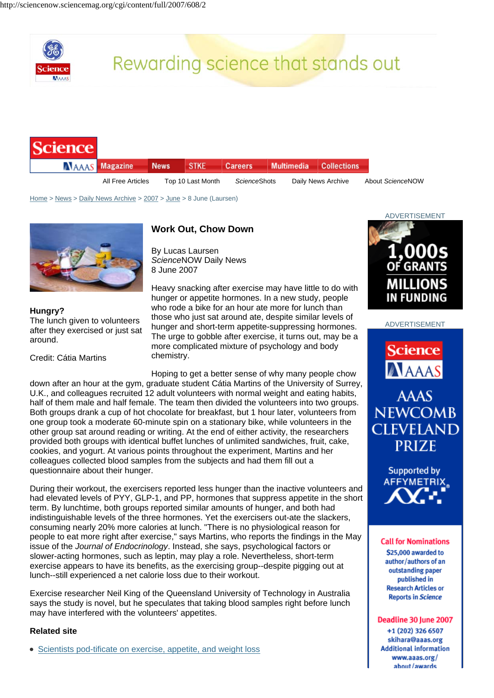

## Rewarding science that stands out

| <b>Science</b> |                       |                   |             |                |            |                    |                  |
|----------------|-----------------------|-------------------|-------------|----------------|------------|--------------------|------------------|
|                | <b>NAAAS</b> Magazine | <b>News</b>       | <b>STKE</b> | <b>Careers</b> | Multimedia | <b>Collections</b> |                  |
|                | All Free Articles     | Top 10 Last Month |             | ScienceShots   |            | Daily News Archive | About ScienceNOW |

Home > News > Daily News Archive > 2007 > June > 8 June (Laursen)



**Hungry?**  The lunch given to volunteers after they exercised or just sat around.

Credit: Cátia Martins

## **Work Out, Chow Down**

By Lucas Laursen *Science*NOW Daily News 8 June 2007

Heavy snacking after exercise may have little to do with hunger or appetite hormones. In a new study, people who rode a bike for an hour ate more for lunch than those who just sat around ate, despite similar levels of hunger and short-term appetite-suppressing hormones. The urge to gobble after exercise, it turns out, may be a more complicated mixture of psychology and body chemistry.

Hoping to get a better sense of why many people chow down after an hour at the gym, graduate student Cátia Martins of the University of Surrey, U.K., and colleagues recruited 12 adult volunteers with normal weight and eating habits, half of them male and half female. The team then divided the volunteers into two groups. Both groups drank a cup of hot chocolate for breakfast, but 1 hour later, volunteers from one group took a moderate 60-minute spin on a stationary bike, while volunteers in the other group sat around reading or writing. At the end of either activity, the researchers provided both groups with identical buffet lunches of unlimited sandwiches, fruit, cake, cookies, and yogurt. At various points throughout the experiment, Martins and her colleagues collected blood samples from the subjects and had them fill out a questionnaire about their hunger.

During their workout, the exercisers reported less hunger than the inactive volunteers and had elevated levels of PYY, GLP-1, and PP, hormones that suppress appetite in the short term. By lunchtime, both groups reported similar amounts of hunger, and both had indistinguishable levels of the three hormones. Yet the exercisers out-ate the slackers, consuming nearly 20% more calories at lunch. "There is no physiological reason for people to eat more right after exercise," says Martins, who reports the findings in the May issue of the *Journal of Endocrinology*. Instead, she says, psychological factors or slower-acting hormones, such as leptin, may play a role. Nevertheless, short-term exercise appears to have its benefits, as the exercising group--despite pigging out at lunch--still experienced a net calorie loss due to their workout.

Exercise researcher Neil King of the Queensland University of Technology in Australia says the study is novel, but he speculates that taking blood samples right before lunch may have interfered with the volunteers' appetites.

## **Related site**

• Scientists pod-tificate on exercise, appetite, and weight loss



ADVERTISEMENT



**NEWCOMB CLEVELAND PRIZE** 



## **Call for Nominations** \$25,000 awarded to author/authors of an outstanding paper published in **Research Articles or Reports in Science**

Deadline 30 June 2007 +1 (202) 326 6507 skihara@aaas.org **Additional information** www.aaas.org/ about/awards